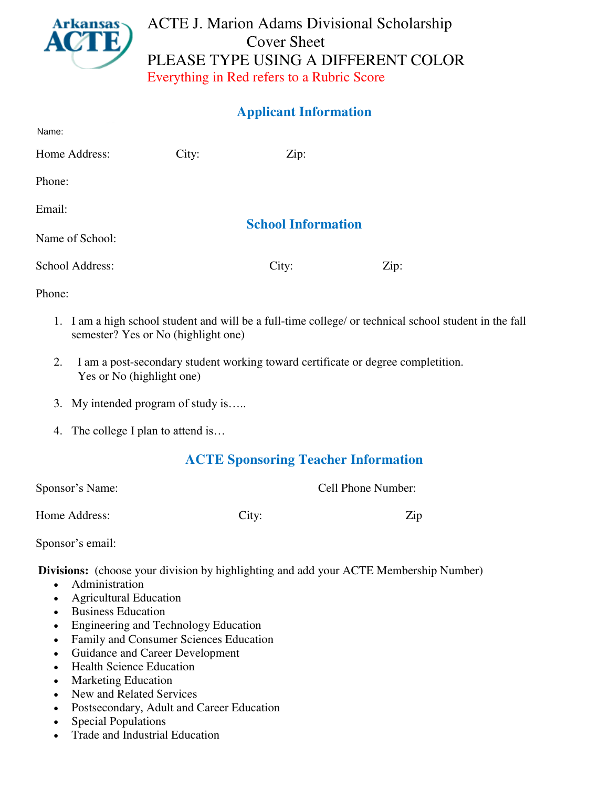

# ACTE J. Marion Adams Divisional Scholarship Cover Sheet PLEASE TYPE USING A DIFFERENT COLOR Everything in Red refers to a Rubric Score

## **Applicant Information**

| Name:           |       |                           |      |
|-----------------|-------|---------------------------|------|
| Home Address:   | City: | Zip:                      |      |
| Phone:          |       |                           |      |
| Email:          |       |                           |      |
| Name of School: |       | <b>School Information</b> |      |
| School Address: |       | City:                     | Zip: |

Phone:

- 1. I am a high school student and will be a full-time college/ or technical school student in the fall semester? Yes or No (highlight one)
- 2. I am a post-secondary student working toward certificate or degree completition. Yes or No (highlight one)
- 3. My intended program of study is…..
- 4. The college I plan to attend is…

## **ACTE Sponsoring Teacher Information**

| Sponsor's Name: | Cell Phone Number: |
|-----------------|--------------------|
|                 |                    |

Home Address: City: City: 2ip

Sponsor's email:

**Divisions:** (choose your division by highlighting and add your ACTE Membership Number)

- [Administration](https://www.acteonline.org/WorkArea/linkit.aspx?LinkIdentifier=id&ItemID=1462)
- [Agricultural Education](https://www.acteonline.org/WorkArea/linkit.aspx?LinkIdentifier=id&ItemID=1468)
- Business Education
- Engineering and Technology Education
- [Family and Consumer Sciences Education](https://www.acteonline.org/WorkArea/linkit.aspx?LinkIdentifier=id&ItemID=1474)
- [Guidance and Career Development](https://www.acteonline.org/WorkArea/linkit.aspx?LinkIdentifier=id&ItemID=1478)
- Health Science Education
- [Marketing Education](https://www.acteonline.org/WorkArea/linkit.aspx?LinkIdentifier=id&ItemID=1482)
- [New and Related Services](https://www.acteonline.org/WorkArea/linkit.aspx?LinkIdentifier=id&ItemID=1484)
- [Postsecondary, Adult and Career Education](https://www.acteonline.org/WorkArea/linkit.aspx?LinkIdentifier=id&ItemID=1466)
- Special Populations
- [Trade and Industrial Education](https://www.acteonline.org/WorkArea/linkit.aspx?LinkIdentifier=id&ItemID=1488)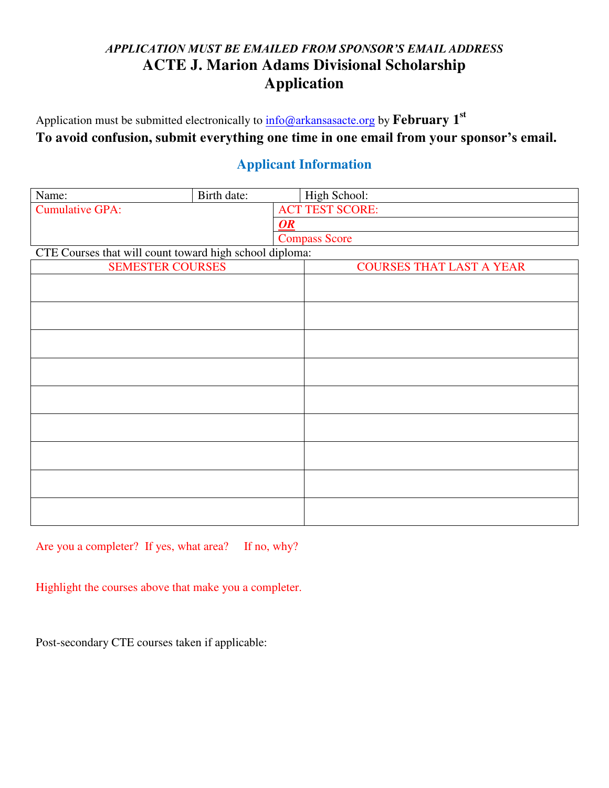# *APPLICATION MUST BE EMAILED FROM SPONSOR'S EMAIL ADDRESS* **ACTE J. Marion Adams Divisional Scholarship Application**

Application must be submitted electronically to  $\frac{info@arkansasacte.org}{info@arkansasacte.org}$  $\frac{info@arkansasacte.org}{info@arkansasacte.org}$  $\frac{info@arkansasacte.org}{info@arkansasacte.org}$  by  ${\bf February\ 1}^{\rm st}$ **To avoid confusion, submit everything one time in one email from your sponsor's email.**

## **Applicant Information**

| Name:                                                   | Birth date: |                                 | High School:         |  |
|---------------------------------------------------------|-------------|---------------------------------|----------------------|--|
| <b>Cumulative GPA:</b>                                  |             | <b>ACT TEST SCORE:</b>          |                      |  |
|                                                         |             | OR                              |                      |  |
|                                                         |             |                                 | <b>Compass Score</b> |  |
| CTE Courses that will count toward high school diploma: |             |                                 |                      |  |
| <b>SEMESTER COURSES</b>                                 |             | <b>COURSES THAT LAST A YEAR</b> |                      |  |
|                                                         |             |                                 |                      |  |
|                                                         |             |                                 |                      |  |
|                                                         |             |                                 |                      |  |
|                                                         |             |                                 |                      |  |
|                                                         |             |                                 |                      |  |
|                                                         |             |                                 |                      |  |
|                                                         |             |                                 |                      |  |
|                                                         |             |                                 |                      |  |
|                                                         |             |                                 |                      |  |
|                                                         |             |                                 |                      |  |
|                                                         |             |                                 |                      |  |
|                                                         |             |                                 |                      |  |
|                                                         |             |                                 |                      |  |
|                                                         |             |                                 |                      |  |
|                                                         |             |                                 |                      |  |
|                                                         |             |                                 |                      |  |
|                                                         |             |                                 |                      |  |
|                                                         |             |                                 |                      |  |

Are you a completer? If yes, what area? If no, why?

Highlight the courses above that make you a completer.

Post-secondary CTE courses taken if applicable: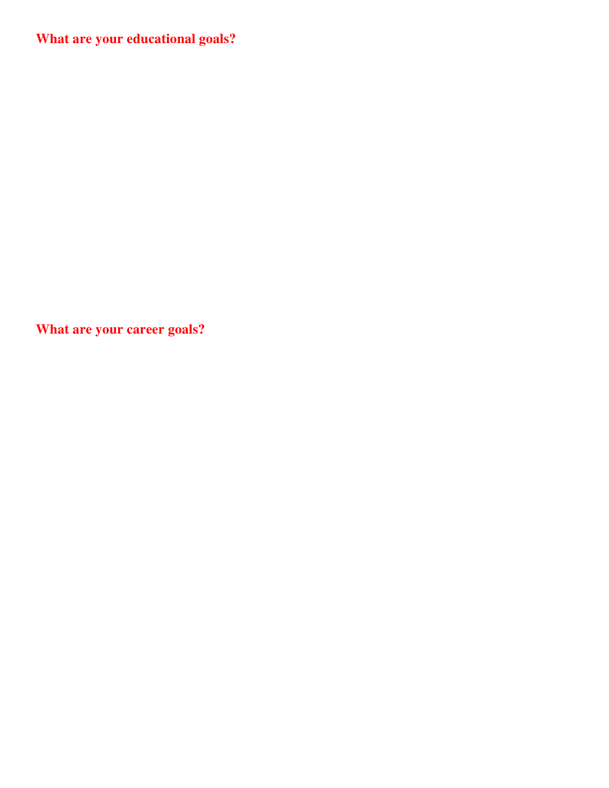**What are your educational goals?** 

**What are your career goals?**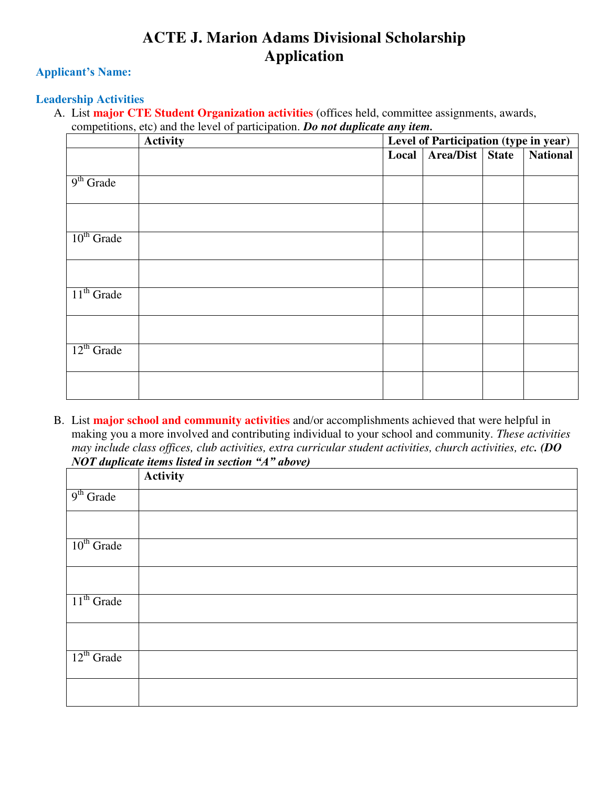# **ACTE J. Marion Adams Divisional Scholarship Application**

### **Applicant's Name:**

#### **Leadership Activities**

A. List **major CTE Student Organization activities** (offices held, committee assignments, awards, competitions, etc) and the level of participation. *Do not duplicate any item.*

|                 | Activity | Level of Participation (type in year) |                 |  |                 |
|-----------------|----------|---------------------------------------|-----------------|--|-----------------|
|                 |          | Local                                 | Area/Dist State |  | <b>National</b> |
|                 |          |                                       |                 |  |                 |
| $9th$ Grade     |          |                                       |                 |  |                 |
|                 |          |                                       |                 |  |                 |
|                 |          |                                       |                 |  |                 |
|                 |          |                                       |                 |  |                 |
| $10th$ Grade    |          |                                       |                 |  |                 |
|                 |          |                                       |                 |  |                 |
|                 |          |                                       |                 |  |                 |
|                 |          |                                       |                 |  |                 |
| $11th$ Grade    |          |                                       |                 |  |                 |
|                 |          |                                       |                 |  |                 |
|                 |          |                                       |                 |  |                 |
| $12^{th}$ Grade |          |                                       |                 |  |                 |
|                 |          |                                       |                 |  |                 |
|                 |          |                                       |                 |  |                 |
|                 |          |                                       |                 |  |                 |

B. List **major school and community activities** and/or accomplishments achieved that were helpful in making you a more involved and contributing individual to your school and community. *These activities may include class offices, club activities, extra curricular student activities, church activities, etc. (DO NOT duplicate items listed in section "A" above)*

|                 | <b>Activity</b> |
|-----------------|-----------------|
| $9th$ Grade     |                 |
|                 |                 |
| $10th$ Grade    |                 |
|                 |                 |
| $11th$ Grade    |                 |
|                 |                 |
| $12^{th}$ Grade |                 |
|                 |                 |